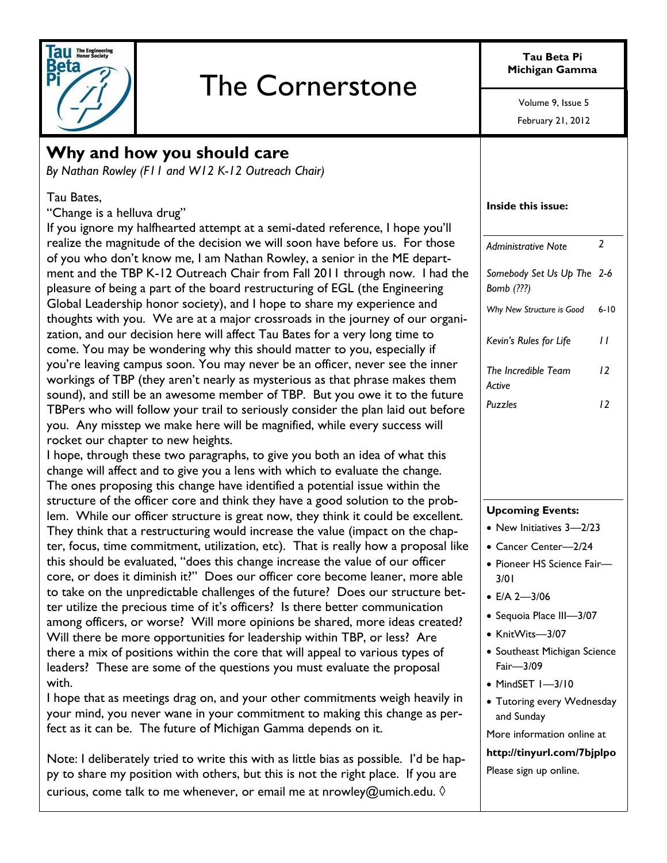

# The Cornerstone

**Tau Beta Pi Michigan Gamma**

> February 21, 2012 Volume 9, Issue 5

### **Why and how you should care**

*By Nathan Rowley (F11 and W12 K-12 Outreach Chair)* 

#### Tau Bates,

"Change is a helluva drug"

If you ignore my halfhearted attempt at a semi-dated reference, I hope you'll realize the magnitude of the decision we will soon have before us. For those of you who don't know me, I am Nathan Rowley, a senior in the ME department and the TBP K-12 Outreach Chair from Fall 2011 through now. I had the pleasure of being a part of the board restructuring of EGL (the Engineering Global Leadership honor society), and I hope to share my experience and thoughts with you. We are at a major crossroads in the journey of our organization, and our decision here will affect Tau Bates for a very long time to come. You may be wondering why this should matter to you, especially if you're leaving campus soon. You may never be an officer, never see the inner workings of TBP (they aren't nearly as mysterious as that phrase makes them sound), and still be an awesome member of TBP. But you owe it to the future TBPers who will follow your trail to seriously consider the plan laid out before you. Any misstep we make here will be magnified, while every success will rocket our chapter to new heights.

I hope, through these two paragraphs, to give you both an idea of what this change will affect and to give you a lens with which to evaluate the change. The ones proposing this change have identified a potential issue within the structure of the officer core and think they have a good solution to the problem. While our officer structure is great now, they think it could be excellent. They think that a restructuring would increase the value (impact on the chapter, focus, time commitment, utilization, etc). That is really how a proposal like this should be evaluated, "does this change increase the value of our officer core, or does it diminish it?" Does our officer core become leaner, more able to take on the unpredictable challenges of the future? Does our structure better utilize the precious time of it's officers? Is there better communication among officers, or worse? Will more opinions be shared, more ideas created? Will there be more opportunities for leadership within TBP, or less? Are there a mix of positions within the core that will appeal to various types of leaders? These are some of the questions you must evaluate the proposal with.

I hope that as meetings drag on, and your other commitments weigh heavily in your mind, you never wane in your commitment to making this change as perfect as it can be. The future of Michigan Gamma depends on it.

Note: I deliberately tried to write this with as little bias as possible. I'd be happy to share my position with others, but this is not the right place. If you are curious, come talk to me whenever, or email me at nrowley@umich.edu.  $\Diamond$ 

#### **Inside this issue:**

| <b>Administrative Note</b>               | $\overline{\phantom{a}}$ |
|------------------------------------------|--------------------------|
| Somebody Set Us Up The 2-6<br>Bomb (???) |                          |
| Why New Structure is Good                | $6 - 10$                 |
| Kevin's Rules for Life                   | 11                       |
| The Incredible Team<br>Active            | 12                       |
| Puzzles                                  | 12                       |
|                                          |                          |

#### **Upcoming Events:**

- New Initiatives 3-2/23
- Cancer Center—2/24
- Pioneer HS Science Fair-3/01
- $E/A 2 3/06$
- Sequoia Place III—3/07
- KnitWits-3/07
- Southeast Michigan Science Fair—3/09
- MindSET 1-3/10
- Tutoring every Wednesday and Sunday

More information online at

**http://tinyurl.com/7bjplpo** Please sign up online.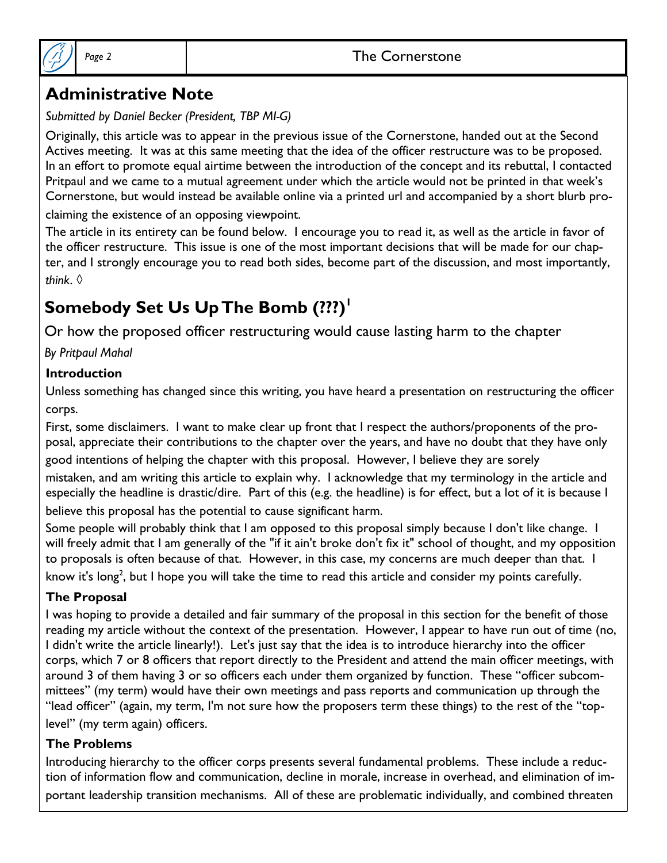### Page 2 and 1 and 1 and 2 and 2 and 2 and 2 and 2 and 2 and 2 and 2 and 2 and 2 and 2 and 2 and 2 and 2 and 2 and 2 and 2 and 2 and 2 and 2 and 2 and 2 and 2 and 2 and 2 and 2 and 2 and 2 and 2 and 2 and 2 and 2 and 2 and 2



### **Administrative Note**

### *Submitted by Daniel Becker (President, TBP MI-G)*

Originally, this article was to appear in the previous issue of the Cornerstone, handed out at the Second Actives meeting. It was at this same meeting that the idea of the officer restructure was to be proposed. In an effort to promote equal airtime between the introduction of the concept and its rebuttal, I contacted Pritpaul and we came to a mutual agreement under which the article would not be printed in that week's Cornerstone, but would instead be available online via a printed url and accompanied by a short blurb pro-

claiming the existence of an opposing viewpoint.

The article in its entirety can be found below. I encourage you to read it, as well as the article in favor of the officer restructure. This issue is one of the most important decisions that will be made for our chapter, and I strongly encourage you to read both sides, become part of the discussion, and most importantly, *think*. ◊

# **Somebody Set Us Up The Bomb (???)<sup>1</sup>**

Or how the proposed officer restructuring would cause lasting harm to the chapter

*By Pritpaul Mahal*

### **Introduction**

Unless something has changed since this writing, you have heard a presentation on restructuring the officer corps.

First, some disclaimers. I want to make clear up front that I respect the authors/proponents of the proposal, appreciate their contributions to the chapter over the years, and have no doubt that they have only good intentions of helping the chapter with this proposal. However, I believe they are sorely

mistaken, and am writing this article to explain why. I acknowledge that my terminology in the article and especially the headline is drastic/dire. Part of this (e.g. the headline) is for effect, but a lot of it is because I believe this proposal has the potential to cause significant harm.

Some people will probably think that I am opposed to this proposal simply because I don't like change. I will freely admit that I am generally of the "if it ain't broke don't fix it" school of thought, and my opposition to proposals is often because of that. However, in this case, my concerns are much deeper than that. I know it's long<sup>2</sup>, but I hope you will take the time to read this article and consider my points carefully.

### **The Proposal**

I was hoping to provide a detailed and fair summary of the proposal in this section for the benefit of those reading my article without the context of the presentation. However, I appear to have run out of time (no, I didn't write the article linearly!). Let's just say that the idea is to introduce hierarchy into the officer corps, which 7 or 8 officers that report directly to the President and attend the main officer meetings, with around 3 of them having 3 or so officers each under them organized by function. These "officer subcommittees" (my term) would have their own meetings and pass reports and communication up through the "lead officer" (again, my term, I'm not sure how the proposers term these things) to the rest of the "toplevel" (my term again) officers.

### **The Problems**

Introducing hierarchy to the officer corps presents several fundamental problems. These include a reduction of information flow and communication, decline in morale, increase in overhead, and elimination of important leadership transition mechanisms. All of these are problematic individually, and combined threaten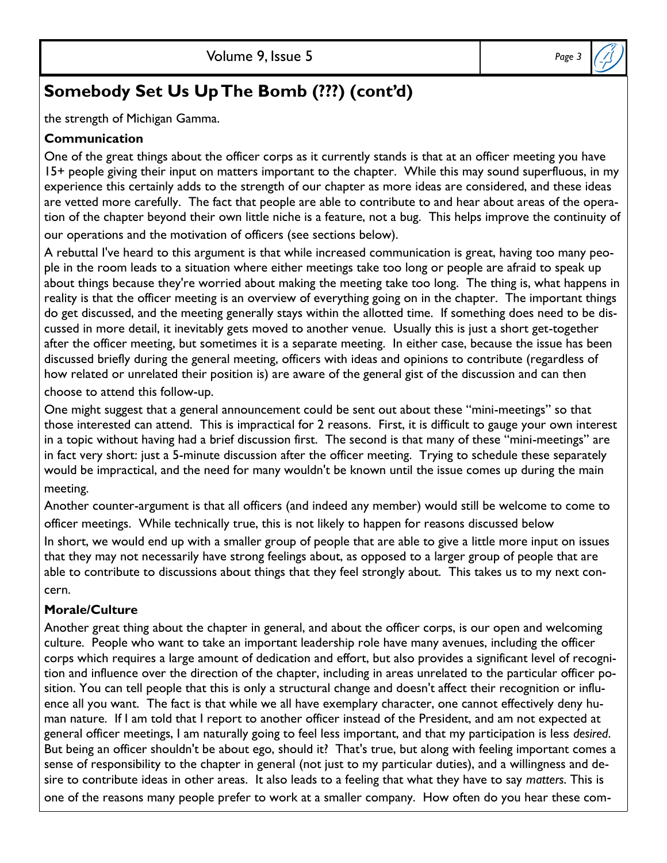the strength of Michigan Gamma.

#### **Communication**

One of the great things about the officer corps as it currently stands is that at an officer meeting you have 15+ people giving their input on matters important to the chapter. While this may sound superfluous, in my experience this certainly adds to the strength of our chapter as more ideas are considered, and these ideas are vetted more carefully. The fact that people are able to contribute to and hear about areas of the operation of the chapter beyond their own little niche is a feature, not a bug. This helps improve the continuity of our operations and the motivation of officers (see sections below).

A rebuttal I've heard to this argument is that while increased communication is great, having too many people in the room leads to a situation where either meetings take too long or people are afraid to speak up about things because they're worried about making the meeting take too long. The thing is, what happens in reality is that the officer meeting is an overview of everything going on in the chapter. The important things do get discussed, and the meeting generally stays within the allotted time. If something does need to be discussed in more detail, it inevitably gets moved to another venue. Usually this is just a short get-together after the officer meeting, but sometimes it is a separate meeting. In either case, because the issue has been discussed briefly during the general meeting, officers with ideas and opinions to contribute (regardless of how related or unrelated their position is) are aware of the general gist of the discussion and can then

choose to attend this follow-up.

One might suggest that a general announcement could be sent out about these "mini-meetings" so that those interested can attend. This is impractical for 2 reasons. First, it is difficult to gauge your own interest in a topic without having had a brief discussion first. The second is that many of these "mini-meetings" are in fact very short: just a 5-minute discussion after the officer meeting. Trying to schedule these separately would be impractical, and the need for many wouldn't be known until the issue comes up during the main meeting.

Another counter-argument is that all officers (and indeed any member) would still be welcome to come to officer meetings. While technically true, this is not likely to happen for reasons discussed below

In short, we would end up with a smaller group of people that are able to give a little more input on issues that they may not necessarily have strong feelings about, as opposed to a larger group of people that are able to contribute to discussions about things that they feel strongly about. This takes us to my next concern.

### **Morale/Culture**

Another great thing about the chapter in general, and about the officer corps, is our open and welcoming culture. People who want to take an important leadership role have many avenues, including the officer corps which requires a large amount of dedication and effort, but also provides a significant level of recognition and influence over the direction of the chapter, including in areas unrelated to the particular officer position. You can tell people that this is only a structural change and doesn't affect their recognition or influence all you want. The fact is that while we all have exemplary character, one cannot effectively deny human nature. If I am told that I report to another officer instead of the President, and am not expected at general officer meetings, I am naturally going to feel less important, and that my participation is less *desired*. But being an officer shouldn't be about ego, should it? That's true, but along with feeling important comes a sense of responsibility to the chapter in general (not just to my particular duties), and a willingness and desire to contribute ideas in other areas. It also leads to a feeling that what they have to say *matters*. This is one of the reasons many people prefer to work at a smaller company. How often do you hear these com-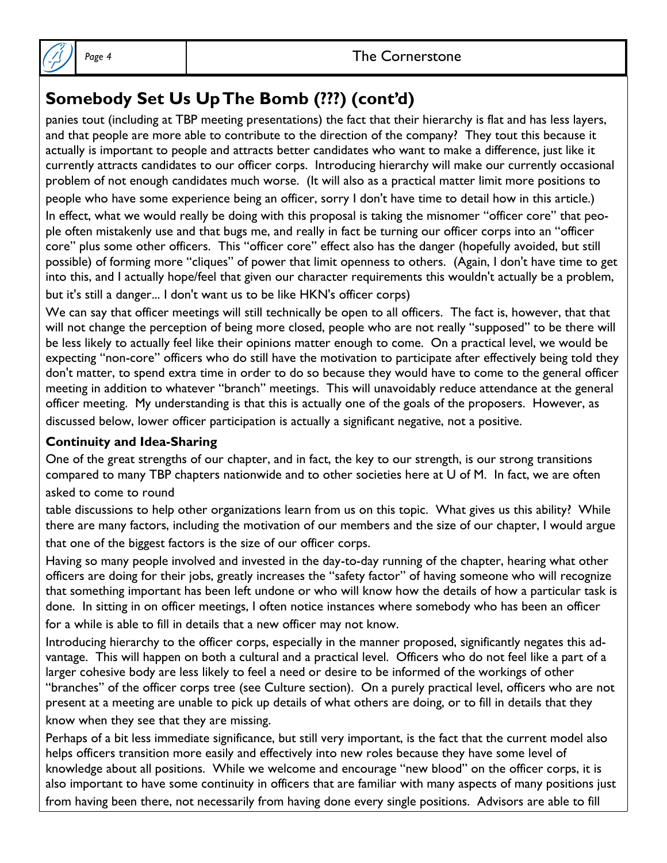

panies tout (including at TBP meeting presentations) the fact that their hierarchy is flat and has less layers, and that people are more able to contribute to the direction of the company? They tout this because it actually is important to people and attracts better candidates who want to make a difference, just like it currently attracts candidates to our officer corps. Introducing hierarchy will make our currently occasional problem of not enough candidates much worse. (It will also as a practical matter limit more positions to

people who have some experience being an officer, sorry I don't have time to detail how in this article.)

In effect, what we would really be doing with this proposal is taking the misnomer "officer core" that people often mistakenly use and that bugs me, and really in fact be turning our officer corps into an "officer core" plus some other officers. This "officer core" effect also has the danger (hopefully avoided, but still possible) of forming more "cliques" of power that limit openness to others. (Again, I don't have time to get into this, and I actually hope/feel that given our character requirements this wouldn't actually be a problem, but it's still a danger... I don't want us to be like HKN's officer corps)

We can say that officer meetings will still technically be open to all officers. The fact is, however, that that will not change the perception of being more closed, people who are not really "supposed" to be there will be less likely to actually feel like their opinions matter enough to come. On a practical level, we would be expecting "non-core" officers who do still have the motivation to participate after effectively being told they don't matter, to spend extra time in order to do so because they would have to come to the general officer meeting in addition to whatever "branch" meetings. This will unavoidably reduce attendance at the general officer meeting. My understanding is that this is actually one of the goals of the proposers. However, as discussed below, lower officer participation is actually a significant negative, not a positive.

### **Continuity and Idea-Sharing**

One of the great strengths of our chapter, and in fact, the key to our strength, is our strong transitions compared to many TBP chapters nationwide and to other societies here at U of M. In fact, we are often asked to come to round

table discussions to help other organizations learn from us on this topic. What gives us this ability? While there are many factors, including the motivation of our members and the size of our chapter, I would argue that one of the biggest factors is the size of our officer corps.

Having so many people involved and invested in the day-to-day running of the chapter, hearing what other officers are doing for their jobs, greatly increases the "safety factor" of having someone who will recognize that something important has been left undone or who will know how the details of how a particular task is done. In sitting in on officer meetings, I often notice instances where somebody who has been an officer for a while is able to fill in details that a new officer may not know.

Introducing hierarchy to the officer corps, especially in the manner proposed, significantly negates this advantage. This will happen on both a cultural and a practical level. Officers who do not feel like a part of a larger cohesive body are less likely to feel a need or desire to be informed of the workings of other "branches" of the officer corps tree (see Culture section). On a purely practical level, officers who are not present at a meeting are unable to pick up details of what others are doing, or to fill in details that they know when they see that they are missing.

Perhaps of a bit less immediate significance, but still very important, is the fact that the current model also helps officers transition more easily and effectively into new roles because they have some level of knowledge about all positions. While we welcome and encourage "new blood" on the officer corps, it is also important to have some continuity in officers that are familiar with many aspects of many positions just from having been there, not necessarily from having done every single positions. Advisors are able to fill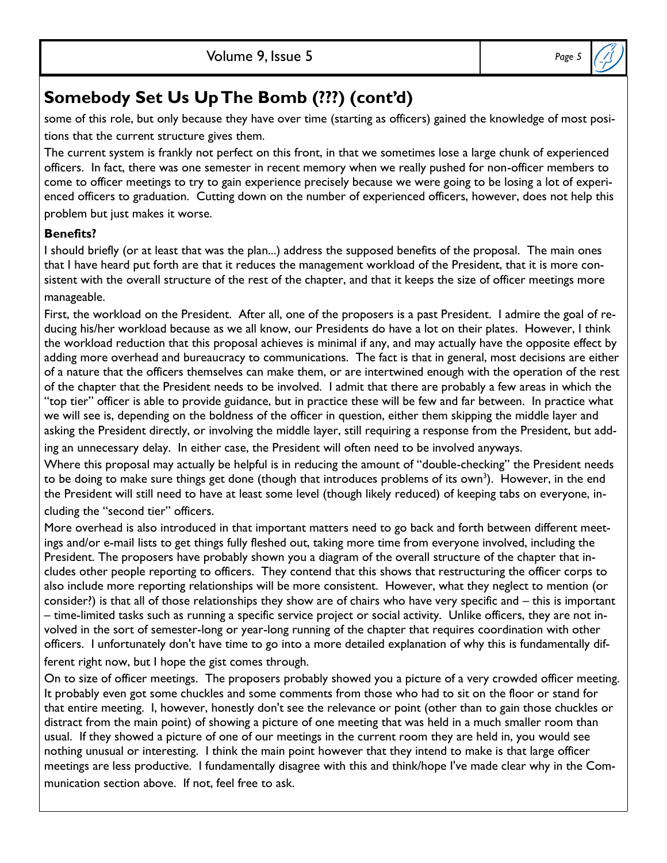some of this role, but only because they have over time (starting as officers) gained the knowledge of most positions that the current structure gives them.

The current system is frankly not perfect on this front, in that we sometimes lose a large chunk of experienced officers. In fact, there was one semester in recent memory when we really pushed for non-officer members to come to officer meetings to try to gain experience precisely because we were going to be losing a lot of experienced officers to graduation. Cutting down on the number of experienced officers, however, does not help this

problem but just makes it worse.

### **Benefits?**

I should briefly (or at least that was the plan...) address the supposed benefits of the proposal. The main ones that I have heard put forth are that it reduces the management workload of the President, that it is more consistent with the overall structure of the rest of the chapter, and that it keeps the size of officer meetings more manageable.

First, the workload on the President. After all, one of the proposers is a past President. I admire the goal of reducing his/her workload because as we all know, our Presidents do have a lot on their plates. However, I think the workload reduction that this proposal achieves is minimal if any, and may actually have the opposite effect by adding more overhead and bureaucracy to communications. The fact is that in general, most decisions are either of a nature that the officers themselves can make them, or are intertwined enough with the operation of the rest of the chapter that the President needs to be involved. I admit that there are probably a few areas in which the "top tier" officer is able to provide guidance, but in practice these will be few and far between. In practice what we will see is, depending on the boldness of the officer in question, either them skipping the middle layer and asking the President directly, or involving the middle layer, still requiring a response from the President, but add-

ing an unnecessary delay. In either case, the President will often need to be involved anyways.

Where this proposal may actually be helpful is in reducing the amount of "double-checking" the President needs to be doing to make sure things get done (though that introduces problems of its own<sup>3</sup>). However, in the end the President will still need to have at least some level (though likely reduced) of keeping tabs on everyone, including the "second tier" officers.

More overhead is also introduced in that important matters need to go back and forth between different meetings and/or e-mail lists to get things fully fleshed out, taking more time from everyone involved, including the President. The proposers have probably shown you a diagram of the overall structure of the chapter that includes other people reporting to officers. They contend that this shows that restructuring the officer corps to also include more reporting relationships will be more consistent. However, what they neglect to mention (or consider?) is that all of those relationships they show are of chairs who have very specific and – this is important – time-limited tasks such as running a specific service project or social activity. Unlike officers, they are not involved in the sort of semester-long or year-long running of the chapter that requires coordination with other officers. I unfortunately don't have time to go into a more detailed explanation of why this is fundamentally dif-

ferent right now, but I hope the gist comes through.

On to size of officer meetings. The proposers probably showed you a picture of a very crowded officer meeting. It probably even got some chuckles and some comments from those who had to sit on the floor or stand for that entire meeting. I, however, honestly don't see the relevance or point (other than to gain those chuckles or distract from the main point) of showing a picture of one meeting that was held in a much smaller room than usual. If they showed a picture of one of our meetings in the current room they are held in, you would see nothing unusual or interesting. I think the main point however that they intend to make is that large officer meetings are less productive. I fundamentally disagree with this and think/hope I've made clear why in the Communication section above. If not, feel free to ask.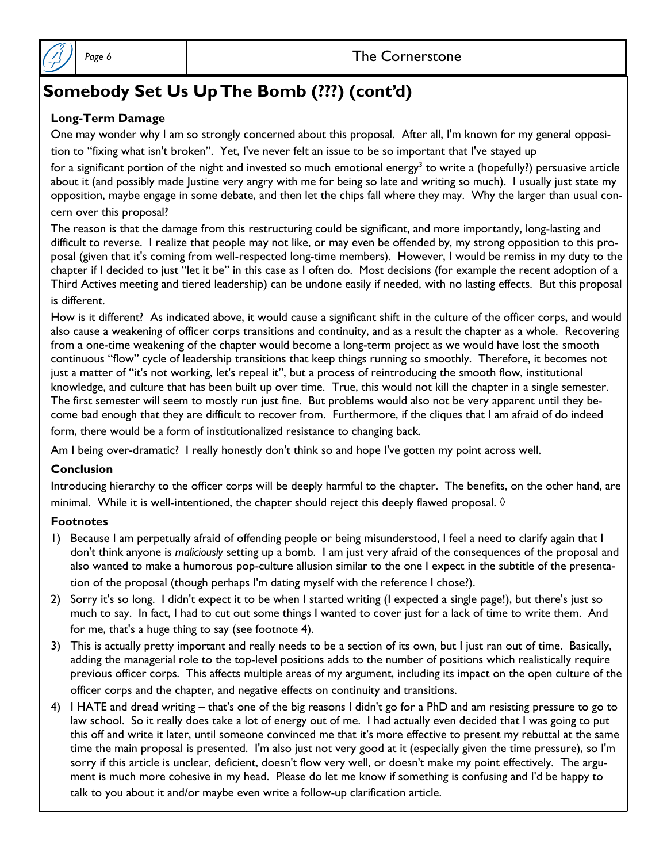

#### **Long-Term Damage**

One may wonder why I am so strongly concerned about this proposal. After all, I'm known for my general opposition to "fixing what isn't broken". Yet, I've never felt an issue to be so important that I've stayed up

for a significant portion of the night and invested so much emotional energy<sup>3</sup> to write a (hopefully?) persuasive article about it (and possibly made Justine very angry with me for being so late and writing so much). I usually just state my opposition, maybe engage in some debate, and then let the chips fall where they may. Why the larger than usual concern over this proposal?

The reason is that the damage from this restructuring could be significant, and more importantly, long-lasting and difficult to reverse. I realize that people may not like, or may even be offended by, my strong opposition to this proposal (given that it's coming from well-respected long-time members). However, I would be remiss in my duty to the chapter if I decided to just "let it be" in this case as I often do. Most decisions (for example the recent adoption of a Third Actives meeting and tiered leadership) can be undone easily if needed, with no lasting effects. But this proposal is different.

How is it different? As indicated above, it would cause a significant shift in the culture of the officer corps, and would also cause a weakening of officer corps transitions and continuity, and as a result the chapter as a whole. Recovering from a one-time weakening of the chapter would become a long-term project as we would have lost the smooth continuous "flow" cycle of leadership transitions that keep things running so smoothly. Therefore, it becomes not just a matter of "it's not working, let's repeal it", but a process of reintroducing the smooth flow, institutional knowledge, and culture that has been built up over time. True, this would not kill the chapter in a single semester. The first semester will seem to mostly run just fine. But problems would also not be very apparent until they become bad enough that they are difficult to recover from. Furthermore, if the cliques that I am afraid of do indeed form, there would be a form of institutionalized resistance to changing back.

Am I being over-dramatic? I really honestly don't think so and hope I've gotten my point across well.

#### **Conclusion**

Introducing hierarchy to the officer corps will be deeply harmful to the chapter. The benefits, on the other hand, are minimal. While it is well-intentioned, the chapter should reject this deeply flawed proposal.  $\Diamond$ 

#### **Footnotes**

- 1) Because I am perpetually afraid of offending people or being misunderstood, I feel a need to clarify again that I don't think anyone is *maliciously* setting up a bomb. I am just very afraid of the consequences of the proposal and also wanted to make a humorous pop-culture allusion similar to the one I expect in the subtitle of the presentation of the proposal (though perhaps I'm dating myself with the reference I chose?).
- 2) Sorry it's so long. I didn't expect it to be when I started writing (I expected a single page!), but there's just so much to say. In fact, I had to cut out some things I wanted to cover just for a lack of time to write them. And for me, that's a huge thing to say (see footnote 4).
- 3) This is actually pretty important and really needs to be a section of its own, but I just ran out of time. Basically, adding the managerial role to the top-level positions adds to the number of positions which realistically require previous officer corps. This affects multiple areas of my argument, including its impact on the open culture of the officer corps and the chapter, and negative effects on continuity and transitions.
- 4) I HATE and dread writing that's one of the big reasons I didn't go for a PhD and am resisting pressure to go to law school. So it really does take a lot of energy out of me. I had actually even decided that I was going to put this off and write it later, until someone convinced me that it's more effective to present my rebuttal at the same time the main proposal is presented. I'm also just not very good at it (especially given the time pressure), so I'm sorry if this article is unclear, deficient, doesn't flow very well, or doesn't make my point effectively. The argument is much more cohesive in my head. Please do let me know if something is confusing and I'd be happy to talk to you about it and/or maybe even write a follow-up clarification article.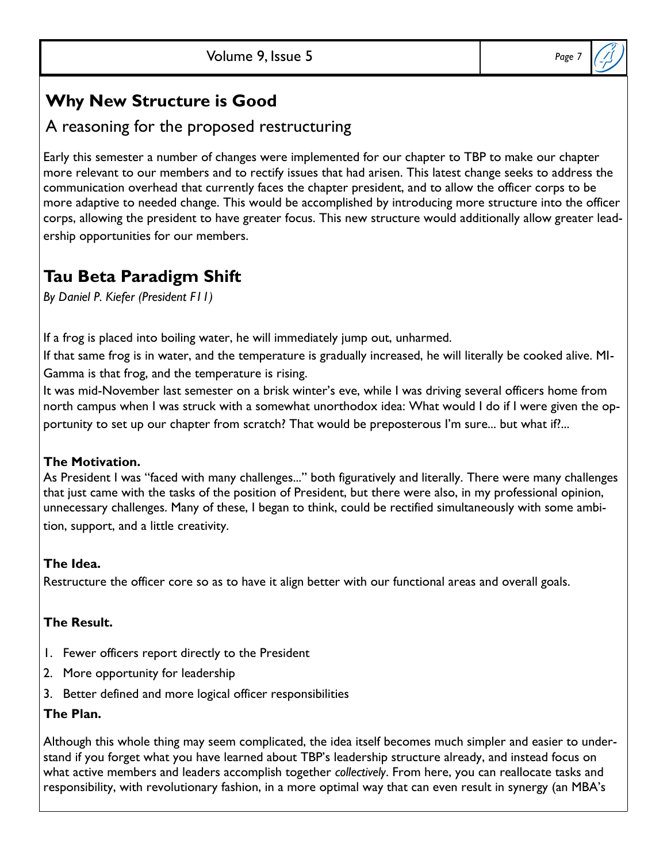### **Why New Structure is Good**

### A reasoning for the proposed restructuring

Early this semester a number of changes were implemented for our chapter to TBP to make our chapter more relevant to our members and to rectify issues that had arisen. This latest change seeks to address the communication overhead that currently faces the chapter president, and to allow the officer corps to be more adaptive to needed change. This would be accomplished by introducing more structure into the officer corps, allowing the president to have greater focus. This new structure would additionally allow greater leadership opportunities for our members.

### **Tau Beta Paradigm Shift**

*By Daniel P. Kiefer (President F11)*

If a frog is placed into boiling water, he will immediately jump out, unharmed.

If that same frog is in water, and the temperature is gradually increased, he will literally be cooked alive. MI-Gamma is that frog, and the temperature is rising.

It was mid-November last semester on a brisk winter's eve, while I was driving several officers home from north campus when I was struck with a somewhat unorthodox idea: What would I do if I were given the opportunity to set up our chapter from scratch? That would be preposterous I'm sure... but what if?...

### **The Motivation.**

As President I was "faced with many challenges..." both figuratively and literally. There were many challenges that just came with the tasks of the position of President, but there were also, in my professional opinion, unnecessary challenges. Many of these, I began to think, could be rectified simultaneously with some ambition, support, and a little creativity.

### **The Idea.**

Restructure the officer core so as to have it align better with our functional areas and overall goals.

### **The Result.**

- 1. Fewer officers report directly to the President
- 2. More opportunity for leadership
- 3. Better defined and more logical officer responsibilities

### **The Plan.**

Although this whole thing may seem complicated, the idea itself becomes much simpler and easier to understand if you forget what you have learned about TBP's leadership structure already, and instead focus on what active members and leaders accomplish together *collectively*. From here, you can reallocate tasks and responsibility, with revolutionary fashion, in a more optimal way that can even result in synergy (an MBA's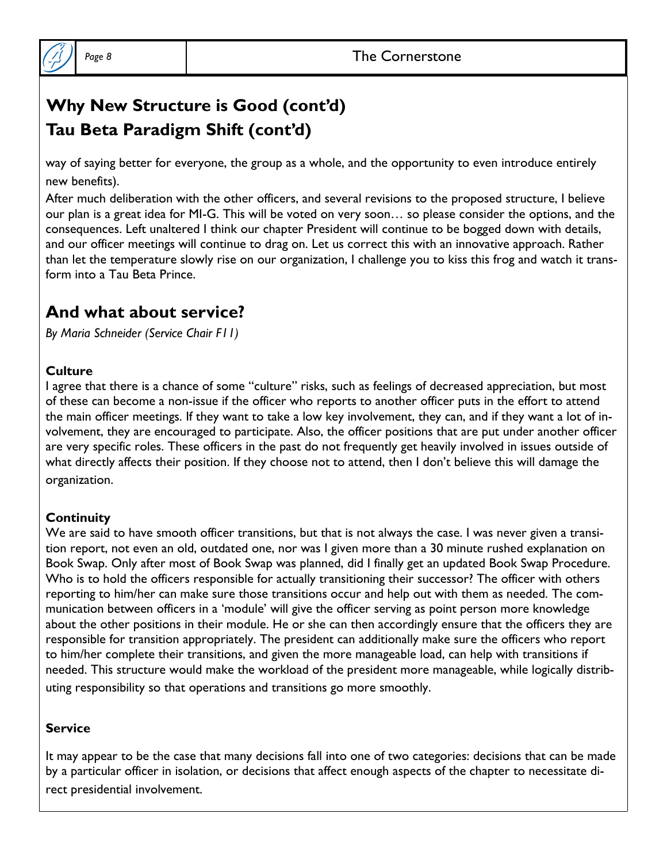

# **Why New Structure is Good (cont'd) Tau Beta Paradigm Shift (cont'd)**

way of saying better for everyone, the group as a whole, and the opportunity to even introduce entirely new benefits).

After much deliberation with the other officers, and several revisions to the proposed structure, I believe our plan is a great idea for MI-G. This will be voted on very soon… so please consider the options, and the consequences. Left unaltered I think our chapter President will continue to be bogged down with details, and our officer meetings will continue to drag on. Let us correct this with an innovative approach. Rather than let the temperature slowly rise on our organization, I challenge you to kiss this frog and watch it transform into a Tau Beta Prince.

### **And what about service?**

*By Maria Schneider (Service Chair F11)*

### **Culture**

I agree that there is a chance of some "culture" risks, such as feelings of decreased appreciation, but most of these can become a non-issue if the officer who reports to another officer puts in the effort to attend the main officer meetings. If they want to take a low key involvement, they can, and if they want a lot of involvement, they are encouraged to participate. Also, the officer positions that are put under another officer are very specific roles. These officers in the past do not frequently get heavily involved in issues outside of what directly affects their position. If they choose not to attend, then I don't believe this will damage the organization.

### **Continuity**

We are said to have smooth officer transitions, but that is not always the case. I was never given a transition report, not even an old, outdated one, nor was I given more than a 30 minute rushed explanation on Book Swap. Only after most of Book Swap was planned, did I finally get an updated Book Swap Procedure. Who is to hold the officers responsible for actually transitioning their successor? The officer with others reporting to him/her can make sure those transitions occur and help out with them as needed. The communication between officers in a 'module' will give the officer serving as point person more knowledge about the other positions in their module. He or she can then accordingly ensure that the officers they are responsible for transition appropriately. The president can additionally make sure the officers who report to him/her complete their transitions, and given the more manageable load, can help with transitions if needed. This structure would make the workload of the president more manageable, while logically distributing responsibility so that operations and transitions go more smoothly.

### **Service**

It may appear to be the case that many decisions fall into one of two categories: decisions that can be made by a particular officer in isolation, or decisions that affect enough aspects of the chapter to necessitate direct presidential involvement.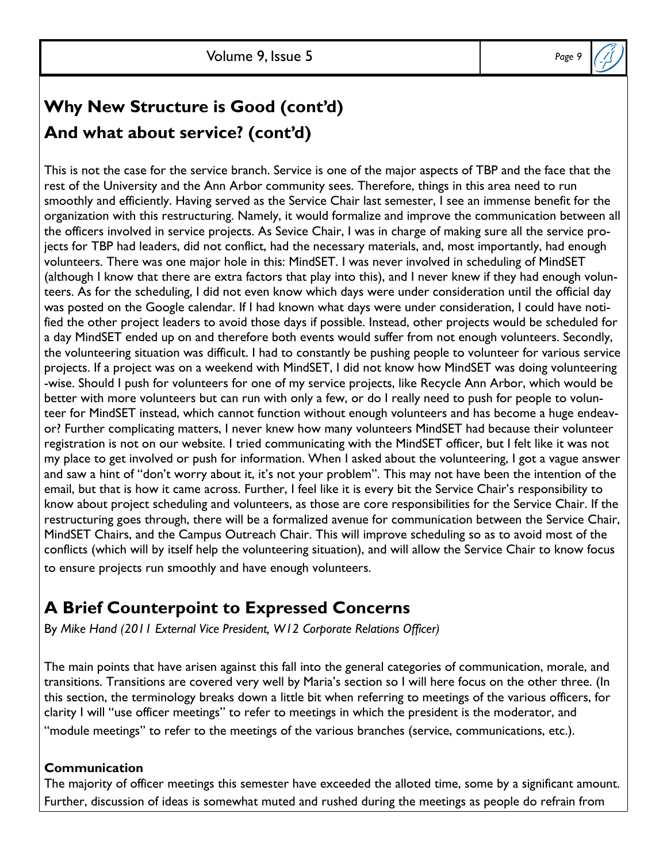

# **Why New Structure is Good (cont'd) And what about service? (cont'd)**

This is not the case for the service branch. Service is one of the major aspects of TBP and the face that the rest of the University and the Ann Arbor community sees. Therefore, things in this area need to run smoothly and efficiently. Having served as the Service Chair last semester, I see an immense benefit for the organization with this restructuring. Namely, it would formalize and improve the communication between all the officers involved in service projects. As Sevice Chair, I was in charge of making sure all the service projects for TBP had leaders, did not conflict, had the necessary materials, and, most importantly, had enough volunteers. There was one major hole in this: MindSET. I was never involved in scheduling of MindSET (although I know that there are extra factors that play into this), and I never knew if they had enough volunteers. As for the scheduling, I did not even know which days were under consideration until the official day was posted on the Google calendar. If I had known what days were under consideration, I could have notified the other project leaders to avoid those days if possible. Instead, other projects would be scheduled for a day MindSET ended up on and therefore both events would suffer from not enough volunteers. Secondly, the volunteering situation was difficult. I had to constantly be pushing people to volunteer for various service projects. If a project was on a weekend with MindSET, I did not know how MindSET was doing volunteering -wise. Should I push for volunteers for one of my service projects, like Recycle Ann Arbor, which would be better with more volunteers but can run with only a few, or do I really need to push for people to volunteer for MindSET instead, which cannot function without enough volunteers and has become a huge endeavor? Further complicating matters, I never knew how many volunteers MindSET had because their volunteer registration is not on our website. I tried communicating with the MindSET officer, but I felt like it was not my place to get involved or push for information. When I asked about the volunteering, I got a vague answer and saw a hint of "don't worry about it, it's not your problem". This may not have been the intention of the email, but that is how it came across. Further, I feel like it is every bit the Service Chair's responsibility to know about project scheduling and volunteers, as those are core responsibilities for the Service Chair. If the restructuring goes through, there will be a formalized avenue for communication between the Service Chair, MindSET Chairs, and the Campus Outreach Chair. This will improve scheduling so as to avoid most of the conflicts (which will by itself help the volunteering situation), and will allow the Service Chair to know focus to ensure projects run smoothly and have enough volunteers.

# **A Brief Counterpoint to Expressed Concerns**

By *Mike Hand (2011 External Vice President, W12 Corporate Relations Officer)*

The main points that have arisen against this fall into the general categories of communication, morale, and transitions. Transitions are covered very well by Maria's section so I will here focus on the other three. (In this section, the terminology breaks down a little bit when referring to meetings of the various officers, for clarity I will "use officer meetings" to refer to meetings in which the president is the moderator, and "module meetings" to refer to the meetings of the various branches (service, communications, etc.).

### **Communication**

The majority of officer meetings this semester have exceeded the alloted time, some by a significant amount. Further, discussion of ideas is somewhat muted and rushed during the meetings as people do refrain from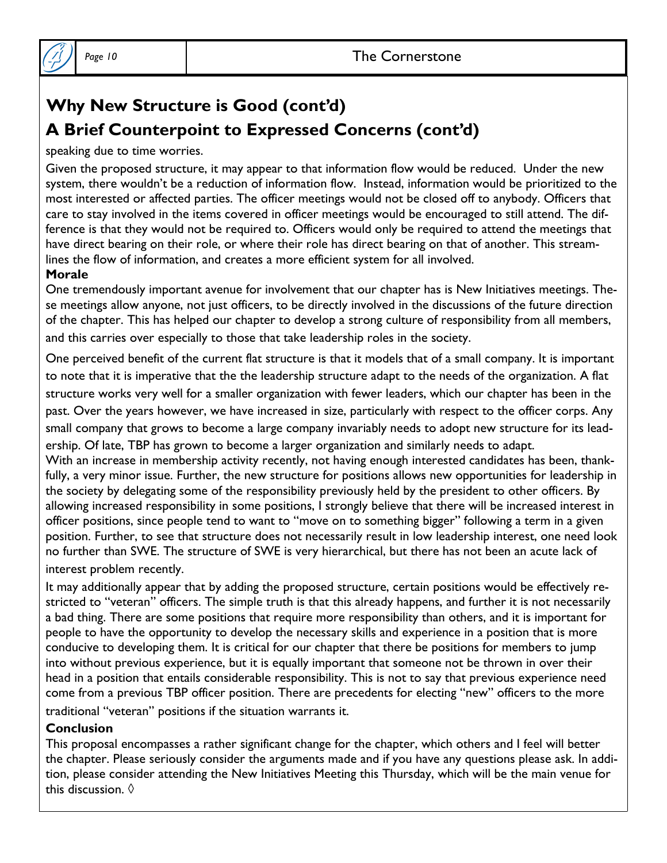

# **Why New Structure is Good (cont'd) A Brief Counterpoint to Expressed Concerns (cont'd)**

speaking due to time worries.

Given the proposed structure, it may appear to that information flow would be reduced. Under the new system, there wouldn't be a reduction of information flow. Instead, information would be prioritized to the most interested or affected parties. The officer meetings would not be closed off to anybody. Officers that care to stay involved in the items covered in officer meetings would be encouraged to still attend. The difference is that they would not be required to. Officers would only be required to attend the meetings that have direct bearing on their role, or where their role has direct bearing on that of another. This streamlines the flow of information, and creates a more efficient system for all involved.

#### **Morale**

One tremendously important avenue for involvement that our chapter has is New Initiatives meetings. These meetings allow anyone, not just officers, to be directly involved in the discussions of the future direction of the chapter. This has helped our chapter to develop a strong culture of responsibility from all members, and this carries over especially to those that take leadership roles in the society.

One perceived benefit of the current flat structure is that it models that of a small company. It is important to note that it is imperative that the the leadership structure adapt to the needs of the organization. A flat structure works very well for a smaller organization with fewer leaders, which our chapter has been in the past. Over the years however, we have increased in size, particularly with respect to the officer corps. Any small company that grows to become a large company invariably needs to adopt new structure for its leadership. Of late, TBP has grown to become a larger organization and similarly needs to adapt.

With an increase in membership activity recently, not having enough interested candidates has been, thankfully, a very minor issue. Further, the new structure for positions allows new opportunities for leadership in the society by delegating some of the responsibility previously held by the president to other officers. By allowing increased responsibility in some positions, I strongly believe that there will be increased interest in officer positions, since people tend to want to "move on to something bigger" following a term in a given position. Further, to see that structure does not necessarily result in low leadership interest, one need look no further than SWE. The structure of SWE is very hierarchical, but there has not been an acute lack of interest problem recently.

It may additionally appear that by adding the proposed structure, certain positions would be effectively restricted to "veteran" officers. The simple truth is that this already happens, and further it is not necessarily a bad thing. There are some positions that require more responsibility than others, and it is important for people to have the opportunity to develop the necessary skills and experience in a position that is more conducive to developing them. It is critical for our chapter that there be positions for members to jump into without previous experience, but it is equally important that someone not be thrown in over their head in a position that entails considerable responsibility. This is not to say that previous experience need come from a previous TBP officer position. There are precedents for electing "new" officers to the more traditional "veteran" positions if the situation warrants it.

#### **Conclusion**

This proposal encompasses a rather significant change for the chapter, which others and I feel will better the chapter. Please seriously consider the arguments made and if you have any questions please ask. In addition, please consider attending the New Initiatives Meeting this Thursday, which will be the main venue for this discussion. ◊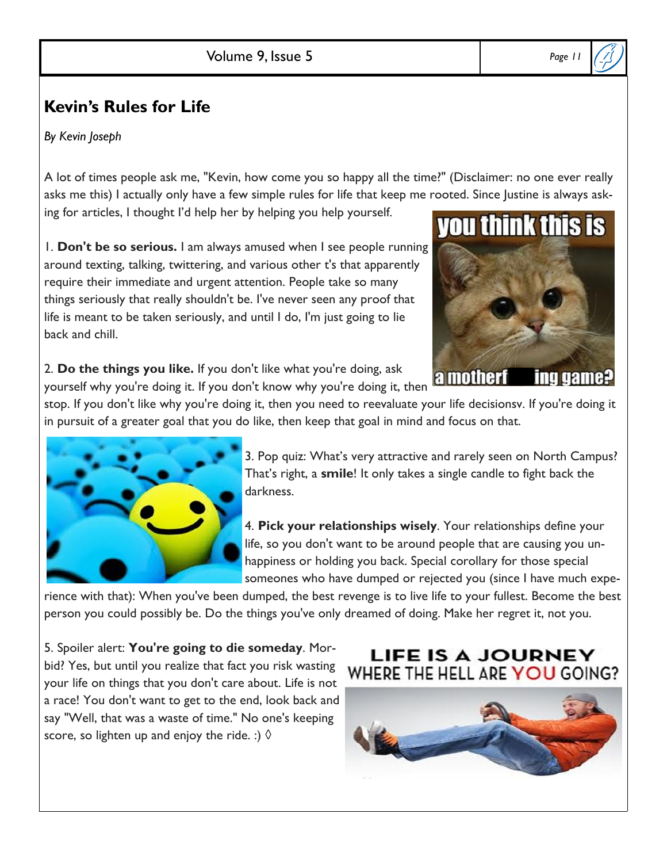## **Kevin's Rules for Life**

*By Kevin Joseph*

A lot of times people ask me, "Kevin, how come you so happy all the time?" (Disclaimer: no one ever really asks me this) I actually only have a few simple rules for life that keep me rooted. Since Justine is always asking for articles, I thought I'd help her by helping you help yourself.

1. **Don't be so serious.** I am always amused when I see people running around texting, talking, twittering, and various other t's that apparently require their immediate and urgent attention. People take so many things seriously that really shouldn't be. I've never seen any proof that life is meant to be taken seriously, and until I do, I'm just going to lie back and chill.



2. **Do the things you like.** If you don't like what you're doing, ask  $\lambda$ .  $\lambda$  and the thing the set of the white what you're doing, ask and **all mother f** yourself why you're doing it. If you don't know why you're doing it, then

stop. If you don't like why you're doing it, then you need to reevaluate your life decisionsv. If you're doing it in pursuit of a greater goal that you do like, then keep that goal in mind and focus on that.



3. Pop quiz: What's very attractive and rarely seen on North Campus? That's right, a **smile**! It only takes a single candle to fight back the darkness.

4. **Pick your relationships wisely**. Your relationships define your life, so you don't want to be around people that are causing you unhappiness or holding you back. Special corollary for those special someones who have dumped or rejected you (since I have much expe-

rience with that): When you've been dumped, the best revenge is to live life to your fullest. Become the best person you could possibly be. Do the things you've only dreamed of doing. Make her regret it, not you.

5. Spoiler alert: **You're going to die someday**. Morbid? Yes, but until you realize that fact you risk wasting your life on things that you don't care about. Life is not a race! You don't want to get to the end, look back and say "Well, that was a waste of time." No one's keeping score, so lighten up and enjoy the ride. :)  $\Diamond$ 

### **LIFE IS A JOURNEY** WHERE THE HELL ARE YOU GOING?